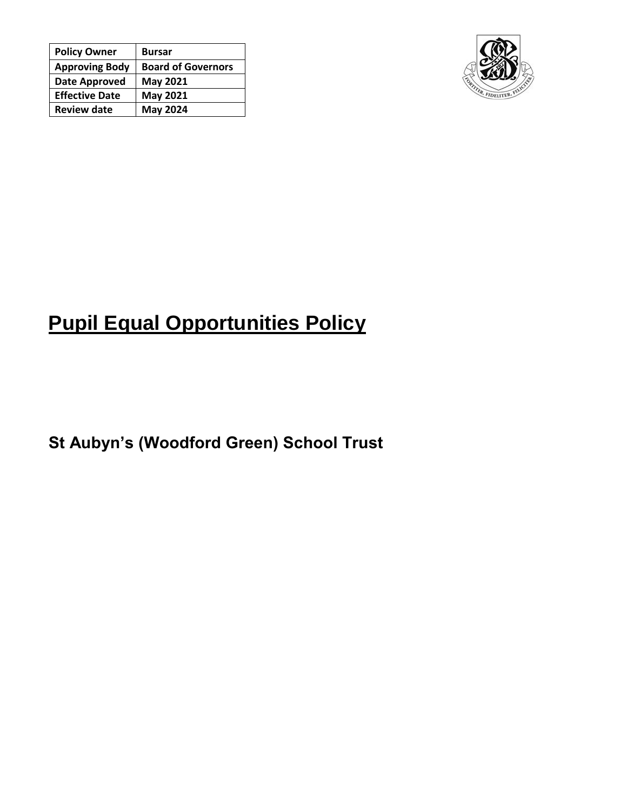| <b>Policy Owner</b>   | <b>Bursar</b>             |
|-----------------------|---------------------------|
| <b>Approving Body</b> | <b>Board of Governors</b> |
| Date Approved         | <b>May 2021</b>           |
| <b>Effective Date</b> | <b>May 2021</b>           |
| <b>Review date</b>    | <b>May 2024</b>           |



## **Pupil Equal Opportunities Policy**

**St Aubyn's (Woodford Green) School Trust**